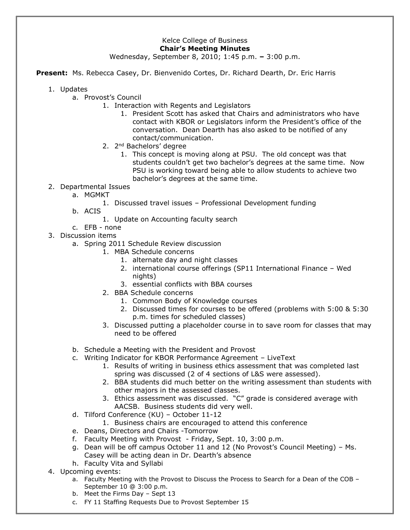## Kelce College of Business **Chair's Meeting Minutes** Wednesday, September 8, 2010; 1:45 p.m. **–** 3:00 p.m.

**Present:** Ms. Rebecca Casey, Dr. Bienvenido Cortes, Dr. Richard Dearth, Dr. Eric Harris

- 1. Updates
	- a. Provost's Council
		- 1. Interaction with Regents and Legislators
			- 1. President Scott has asked that Chairs and administrators who have contact with KBOR or Legislators inform the President's office of the conversation. Dean Dearth has also asked to be notified of any contact/communication.
		- 2. 2<sup>nd</sup> Bachelors' degree
			- 1. This concept is moving along at PSU. The old concept was that students couldn't get two bachelor's degrees at the same time. Now PSU is working toward being able to allow students to achieve two bachelor's degrees at the same time.
- 2. Departmental Issues
	- a. MGMKT
		- 1. Discussed travel issues Professional Development funding
		- b. ACIS
			- 1. Update on Accounting faculty search
	- c. EFB none
- 3. Discussion items
	- a. Spring 2011 Schedule Review discussion
		- 1. MBA Schedule concerns
			- 1. alternate day and night classes
			- 2. international course offerings (SP11 International Finance Wed nights)
			- 3. essential conflicts with BBA courses
		- 2. BBA Schedule concerns
			- 1. Common Body of Knowledge courses
			- 2. Discussed times for courses to be offered (problems with 5:00 & 5:30 p.m. times for scheduled classes)
		- 3. Discussed putting a placeholder course in to save room for classes that may need to be offered
	- b. Schedule a Meeting with the President and Provost
	- c. Writing Indicator for KBOR Performance Agreement LiveText
		- 1. Results of writing in business ethics assessment that was completed last spring was discussed (2 of 4 sections of L&S were assessed).
		- 2. BBA students did much better on the writing assessment than students with other majors in the assessed classes.
		- 3. Ethics assessment was discussed. "C" grade is considered average with AACSB. Business students did very well.
	- d. Tilford Conference (KU) October 11-12
		- 1. Business chairs are encouraged to attend this conference
	- e. Deans, Directors and Chairs -Tomorrow
	- f. Faculty Meeting with Provost Friday, Sept. 10, 3:00 p.m.
	- g. Dean will be off campus October 11 and 12 (No Provost's Council Meeting) Ms. Casey will be acting dean in Dr. Dearth's absence
	- h. Faculty Vita and Syllabi
- 4. Upcoming events:
	- a. Faculty Meeting with the Provost to Discuss the Process to Search for a Dean of the COB September 10 @ 3:00 p.m.
	- b. Meet the Firms Day Sept 13
	- c. FY 11 Staffing Requests Due to Provost September 15